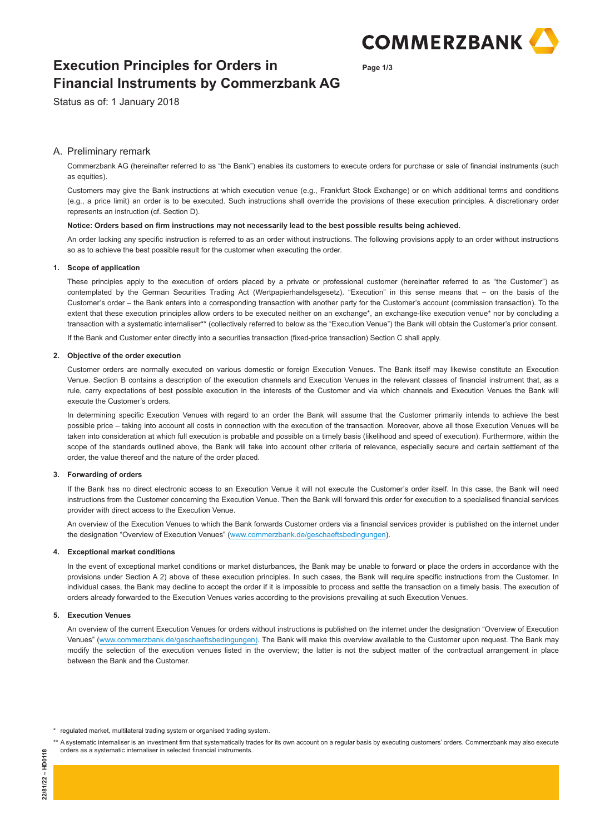

**Page 1/3**

# **Execution Principles for Orders in Financial Instruments by Commerzbank AG**

Status as of: 1 January 2018

## A. Preliminary remark

 Commerzbank AG (hereinafter referred to as "the Bank") enables its customers to execute orders for purchase or sale of financial instruments (such as equities).

 Customers may give the Bank instructions at which execution venue (e.g., Frankfurt Stock Exchange) or on which additional terms and conditions (e.g., a price limit) an order is to be executed. Such instructions shall override the provisions of these execution principles. A discretionary order represents an instruction (cf. Section D).

### **Notice: Orders based on firm instructions may not necessarily lead to the best possible results being achieved.**

 An order lacking any specific instruction is referred to as an order without instructions. The following provisions apply to an order without instructions so as to achieve the best possible result for the customer when executing the order.

## **1. Scope of application**

 These principles apply to the execution of orders placed by a private or professional customer (hereinafter referred to as "the Customer") as contemplated by the German Securities Trading Act (Wertpapierhandelsgesetz). "Execution" in this sense means that – on the basis of the Customer's order – the Bank enters into a corresponding transaction with another party for the Customer's account (commission transaction). To the extent that these execution principles allow orders to be executed neither on an exchange\*, an exchange-like execution venue\* nor by concluding a transaction with a systematic internaliser\*\* (collectively referred to below as the "Execution Venue") the Bank will obtain the Customer's prior consent.

If the Bank and Customer enter directly into a securities transaction (fixed-price transaction) Section C shall apply.

### **2. Objective of the order execution**

 Customer orders are normally executed on various domestic or foreign Execution Venues. The Bank itself may likewise constitute an Execution Venue. Section B contains a description of the execution channels and Execution Venues in the relevant classes of financial instrument that, as a rule, carry expectations of best possible execution in the interests of the Customer and via which channels and Execution Venues the Bank will execute the Customer's orders.

 In determining specific Execution Venues with regard to an order the Bank will assume that the Customer primarily intends to achieve the best possible price – taking into account all costs in connection with the execution of the transaction. Moreover, above all those Execution Venues will be taken into consideration at which full execution is probable and possible on a timely basis (likelihood and speed of execution). Furthermore, within the scope of the standards outlined above, the Bank will take into account other criteria of relevance, especially secure and certain settlement of the order, the value thereof and the nature of the order placed.

### **3. Forwarding of orders**

 If the Bank has no direct electronic access to an Execution Venue it will not execute the Customer's order itself. In this case, the Bank will need instructions from the Customer concerning the Execution Venue. Then the Bank will forward this order for execution to a specialised financial services provider with direct access to the Execution Venue.

 An overview of the Execution Venues to which the Bank forwards Customer orders via a financial services provider is published on the internet under the designation "Overview of Execution Venues" (www.commerzbank.de/geschaeftsbedingungen).

### **4. Exceptional market conditions**

 In the event of exceptional market conditions or market disturbances, the Bank may be unable to forward or place the orders in accordance with the provisions under Section A 2) above of these execution principles. In such cases, the Bank will require specific instructions from the Customer. In individual cases, the Bank may decline to accept the order if it is impossible to process and settle the transaction on a timely basis. The execution of orders already forwarded to the Execution Venues varies according to the provisions prevailing at such Execution Venues.

### **5. Execution Venues**

 An overview of the current Execution Venues for orders without instructions is published on the internet under the designation "Overview of Execution Venues" (www.commerzbank.de/geschaeftsbedingungen). The Bank will make this overview available to the Customer upon request. The Bank may modify the selection of the execution venues listed in the overview; the latter is not the subject matter of the contractual arrangement in place between the Bank and the Customer.

\* regulated market, multilateral trading system or organised trading system.

\*\* A systematic internaliser is an investment firm that systematically trades for its own account on a regular basis by executing customers' orders. Commerzbank may also execute orders as a systematic internaliser in selected financial instruments.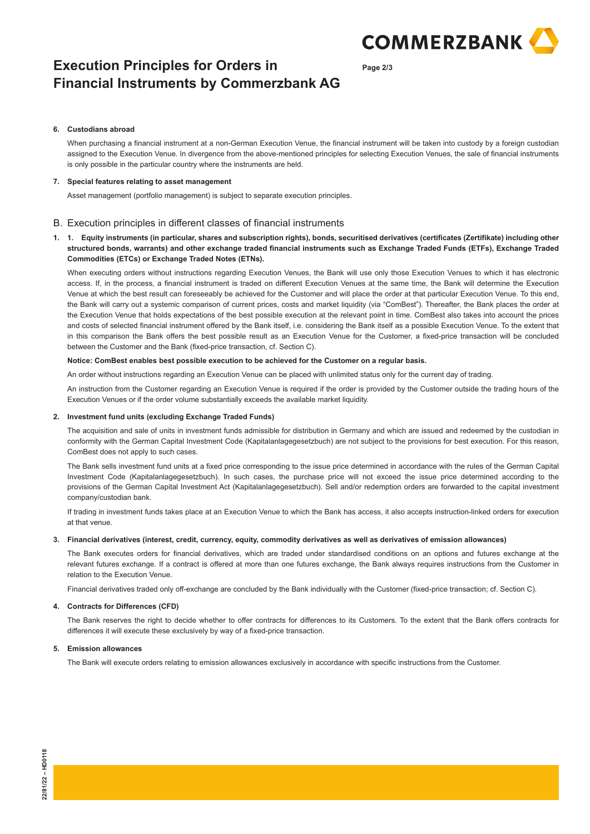

**Page 2/3**

# **Execution Principles for Orders in Financial Instruments by Commerzbank AG**

### **6. Custodians abroad**

 When purchasing a financial instrument at a non-German Execution Venue, the financial instrument will be taken into custody by a foreign custodian assigned to the Execution Venue. In divergence from the above-mentioned principles for selecting Execution Venues, the sale of financial instruments is only possible in the particular country where the instruments are held.

## **7. Special features relating to asset management**

Asset management (portfolio management) is subject to separate execution principles.

## B. Execution principles in different classes of financial instruments

## **1. 1. Equity instruments (in particular, shares and subscription rights), bonds, securitised derivatives (certificates (Zertifikate) including other structured bonds, warrants) and other exchange traded financial instruments such as Exchange Traded Funds (ETFs), Exchange Traded Commodities (ETCs) or Exchange Traded Notes (ETNs).**

When executing orders without instructions regarding Execution Venues, the Bank will use only those Execution Venues to which it has electronic access. If, in the process, a financial instrument is traded on different Execution Venues at the same time, the Bank will determine the Execution Venue at which the best result can foreseeably be achieved for the Customer and will place the order at that particular Execution Venue. To this end, the Bank will carry out a systemic comparison of current prices, costs and market liquidity (via "ComBest"). Thereafter, the Bank places the order at the Execution Venue that holds expectations of the best possible execution at the relevant point in time. ComBest also takes into account the prices and costs of selected financial instrument offered by the Bank itself, i.e. considering the Bank itself as a possible Execution Venue. To the extent that in this comparison the Bank offers the best possible result as an Execution Venue for the Customer, a fixed-price transaction will be concluded between the Customer and the Bank (fixed-price transaction, cf. Section C).

### **Notice: ComBest enables best possible execution to be achieved for the Customer on a regular basis.**

An order without instructions regarding an Execution Venue can be placed with unlimited status only for the current day of trading.

 An instruction from the Customer regarding an Execution Venue is required if the order is provided by the Customer outside the trading hours of the Execution Venues or if the order volume substantially exceeds the available market liquidity.

### **2. Investment fund units (excluding Exchange Traded Funds)**

 The acquisition and sale of units in investment funds admissible for distribution in Germany and which are issued and redeemed by the custodian in conformity with the German Capital Investment Code (Kapitalanlagegesetzbuch) are not subject to the provisions for best execution. For this reason, ComBest does not apply to such cases.

 The Bank sells investment fund units at a fixed price corresponding to the issue price determined in accordance with the rules of the German Capital Investment Code (Kapitalanlagegesetzbuch). In such cases, the purchase price will not exceed the issue price determined according to the provisions of the German Capital Investment Act (Kapitalanlagegesetzbuch). Sell and/or redemption orders are forwarded to the capital investment company/custodian bank.

 If trading in investment funds takes place at an Execution Venue to which the Bank has access, it also accepts instruction-linked orders for execution at that venue.

## **3. Financial derivatives (interest, credit, currency, equity, commodity derivatives as well as derivatives of emission allowances)**

 The Bank executes orders for financial derivatives, which are traded under standardised conditions on an options and futures exchange at the relevant futures exchange. If a contract is offered at more than one futures exchange, the Bank always requires instructions from the Customer in relation to the Execution Venue.

Financial derivatives traded only off-exchange are concluded by the Bank individually with the Customer (fixed-price transaction; cf. Section C).

## **4. Contracts for Differences (CFD)**

 The Bank reserves the right to decide whether to offer contracts for differences to its Customers. To the extent that the Bank offers contracts for differences it will execute these exclusively by way of a fixed-price transaction.

### **5. Emission allowances**

The Bank will execute orders relating to emission allowances exclusively in accordance with specific instructions from the Customer.